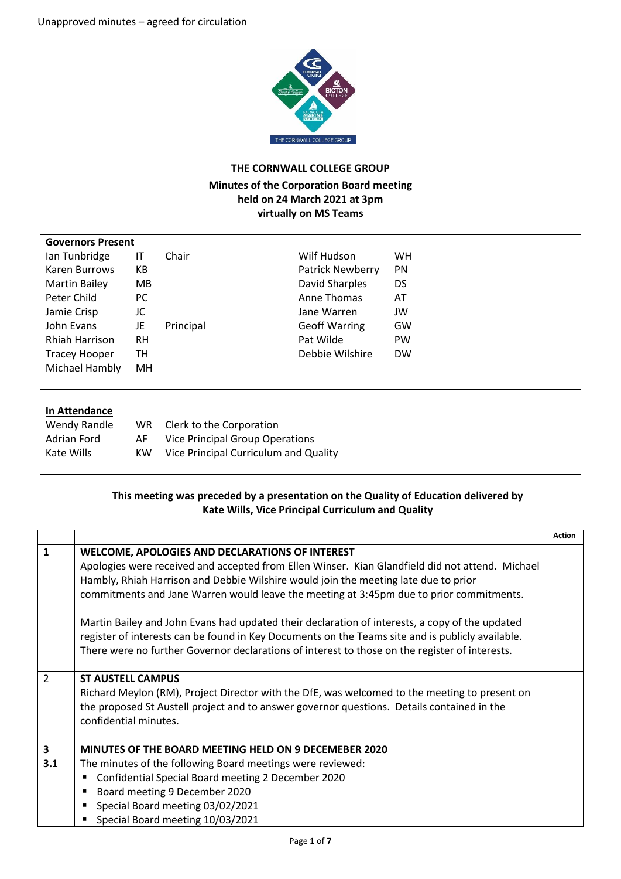

## **THE CORNWALL COLLEGE GROUP**

## **Minutes of the Corporation Board meeting held on 24 March 2021 at 3pm virtually on MS Teams**

| <b>Governors Present</b>    |           |                                      |
|-----------------------------|-----------|--------------------------------------|
| Ian Tunbridge<br>ΙT         | Chair     | Wilf Hudson<br><b>WH</b>             |
| Karen Burrows<br>КB         |           | <b>Patrick Newberry</b><br><b>PN</b> |
| <b>Martin Bailey</b><br>MB. |           | David Sharples<br>DS                 |
| Peter Child<br>PC.          |           | Anne Thomas<br>AT                    |
| JC<br>Jamie Crisp           |           | JW<br>Jane Warren                    |
| John Evans<br>JE            | Principal | <b>Geoff Warring</b><br>GW           |
| Rhiah Harrison<br><b>RH</b> |           | Pat Wilde<br>PW                      |
| <b>Tracey Hooper</b><br>TН  |           | Debbie Wilshire<br><b>DW</b>         |
| Michael Hambly<br>MН        |           |                                      |
|                             |           |                                      |

## **In Attendance**

| Wendy Randle | WR. | Clerk to the Corporation              |
|--------------|-----|---------------------------------------|
| Adrian Ford  | AF. | Vice Principal Group Operations       |
| Kate Wills   | KW  | Vice Principal Curriculum and Quality |

## **This meeting was preceded by a presentation on the Quality of Education delivered by Kate Wills, Vice Principal Curriculum and Quality**

|               |                                                                                                                                                                                                                                                                                                                                                                                                                                                                                                                                                                                                                                              | <b>Action</b> |
|---------------|----------------------------------------------------------------------------------------------------------------------------------------------------------------------------------------------------------------------------------------------------------------------------------------------------------------------------------------------------------------------------------------------------------------------------------------------------------------------------------------------------------------------------------------------------------------------------------------------------------------------------------------------|---------------|
| 1             | WELCOME, APOLOGIES AND DECLARATIONS OF INTEREST<br>Apologies were received and accepted from Ellen Winser. Kian Glandfield did not attend. Michael<br>Hambly, Rhiah Harrison and Debbie Wilshire would join the meeting late due to prior<br>commitments and Jane Warren would leave the meeting at 3:45pm due to prior commitments.<br>Martin Bailey and John Evans had updated their declaration of interests, a copy of the updated<br>register of interests can be found in Key Documents on the Teams site and is publicly available.<br>There were no further Governor declarations of interest to those on the register of interests. |               |
| $\mathcal{P}$ | <b>ST AUSTELL CAMPUS</b><br>Richard Meylon (RM), Project Director with the DfE, was welcomed to the meeting to present on<br>the proposed St Austell project and to answer governor questions. Details contained in the<br>confidential minutes.                                                                                                                                                                                                                                                                                                                                                                                             |               |
| 3<br>3.1      | MINUTES OF THE BOARD MEETING HELD ON 9 DECEMEBER 2020<br>The minutes of the following Board meetings were reviewed:<br>Confidential Special Board meeting 2 December 2020<br>$\blacksquare$<br>Board meeting 9 December 2020<br>$\blacksquare$<br>Special Board meeting 03/02/2021<br>$\blacksquare$<br>Special Board meeting 10/03/2021                                                                                                                                                                                                                                                                                                     |               |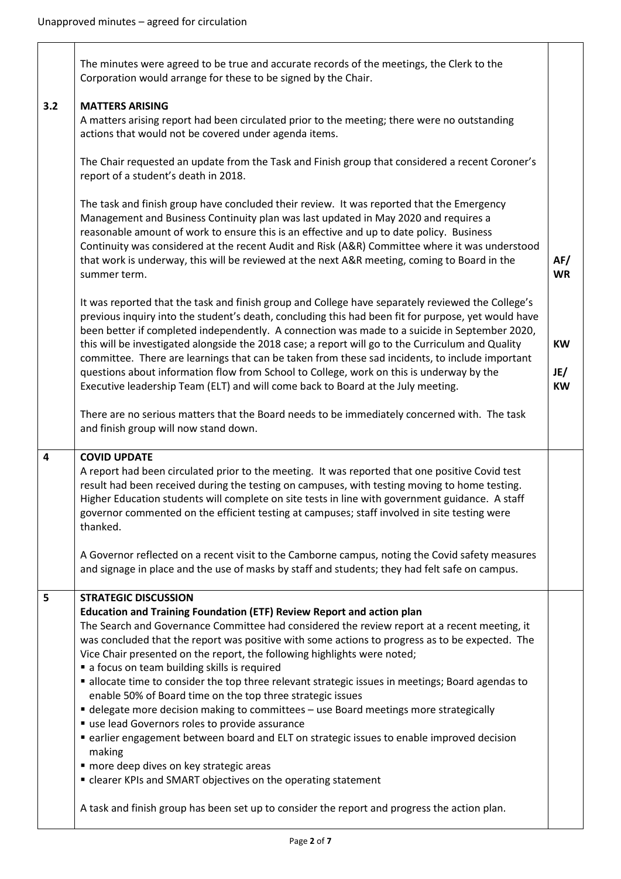|                | The minutes were agreed to be true and accurate records of the meetings, the Clerk to the<br>Corporation would arrange for these to be signed by the Chair.                                                                                                                                                                                                                                                                                                                                                                                                                                                                                                                                                                                                                                                                                                                                                                                                                                                                                                                |                        |
|----------------|----------------------------------------------------------------------------------------------------------------------------------------------------------------------------------------------------------------------------------------------------------------------------------------------------------------------------------------------------------------------------------------------------------------------------------------------------------------------------------------------------------------------------------------------------------------------------------------------------------------------------------------------------------------------------------------------------------------------------------------------------------------------------------------------------------------------------------------------------------------------------------------------------------------------------------------------------------------------------------------------------------------------------------------------------------------------------|------------------------|
|                |                                                                                                                                                                                                                                                                                                                                                                                                                                                                                                                                                                                                                                                                                                                                                                                                                                                                                                                                                                                                                                                                            |                        |
| 3.2            | <b>MATTERS ARISING</b><br>A matters arising report had been circulated prior to the meeting; there were no outstanding<br>actions that would not be covered under agenda items.                                                                                                                                                                                                                                                                                                                                                                                                                                                                                                                                                                                                                                                                                                                                                                                                                                                                                            |                        |
|                | The Chair requested an update from the Task and Finish group that considered a recent Coroner's<br>report of a student's death in 2018.                                                                                                                                                                                                                                                                                                                                                                                                                                                                                                                                                                                                                                                                                                                                                                                                                                                                                                                                    |                        |
|                | The task and finish group have concluded their review. It was reported that the Emergency<br>Management and Business Continuity plan was last updated in May 2020 and requires a<br>reasonable amount of work to ensure this is an effective and up to date policy. Business<br>Continuity was considered at the recent Audit and Risk (A&R) Committee where it was understood<br>that work is underway, this will be reviewed at the next A&R meeting, coming to Board in the<br>summer term.                                                                                                                                                                                                                                                                                                                                                                                                                                                                                                                                                                             | AF/<br><b>WR</b>       |
|                | It was reported that the task and finish group and College have separately reviewed the College's<br>previous inquiry into the student's death, concluding this had been fit for purpose, yet would have<br>been better if completed independently. A connection was made to a suicide in September 2020,<br>this will be investigated alongside the 2018 case; a report will go to the Curriculum and Quality<br>committee. There are learnings that can be taken from these sad incidents, to include important<br>questions about information flow from School to College, work on this is underway by the<br>Executive leadership Team (ELT) and will come back to Board at the July meeting.                                                                                                                                                                                                                                                                                                                                                                          | KW<br>JE/<br><b>KW</b> |
|                | There are no serious matters that the Board needs to be immediately concerned with. The task<br>and finish group will now stand down.                                                                                                                                                                                                                                                                                                                                                                                                                                                                                                                                                                                                                                                                                                                                                                                                                                                                                                                                      |                        |
|                |                                                                                                                                                                                                                                                                                                                                                                                                                                                                                                                                                                                                                                                                                                                                                                                                                                                                                                                                                                                                                                                                            |                        |
| $\overline{4}$ | <b>COVID UPDATE</b><br>A report had been circulated prior to the meeting. It was reported that one positive Covid test<br>result had been received during the testing on campuses, with testing moving to home testing.<br>Higher Education students will complete on site tests in line with government guidance. A staff<br>governor commented on the efficient testing at campuses; staff involved in site testing were<br>thanked.                                                                                                                                                                                                                                                                                                                                                                                                                                                                                                                                                                                                                                     |                        |
|                | A Governor reflected on a recent visit to the Camborne campus, noting the Covid safety measures<br>and signage in place and the use of masks by staff and students; they had felt safe on campus.                                                                                                                                                                                                                                                                                                                                                                                                                                                                                                                                                                                                                                                                                                                                                                                                                                                                          |                        |
| 5              | <b>STRATEGIC DISCUSSION</b><br><b>Education and Training Foundation (ETF) Review Report and action plan</b><br>The Search and Governance Committee had considered the review report at a recent meeting, it<br>was concluded that the report was positive with some actions to progress as to be expected. The<br>Vice Chair presented on the report, the following highlights were noted;<br>a focus on team building skills is required<br>" allocate time to consider the top three relevant strategic issues in meetings; Board agendas to<br>enable 50% of Board time on the top three strategic issues<br>• delegate more decision making to committees - use Board meetings more strategically<br>use lead Governors roles to provide assurance<br>earlier engagement between board and ELT on strategic issues to enable improved decision<br>making<br>" more deep dives on key strategic areas<br>• clearer KPIs and SMART objectives on the operating statement<br>A task and finish group has been set up to consider the report and progress the action plan. |                        |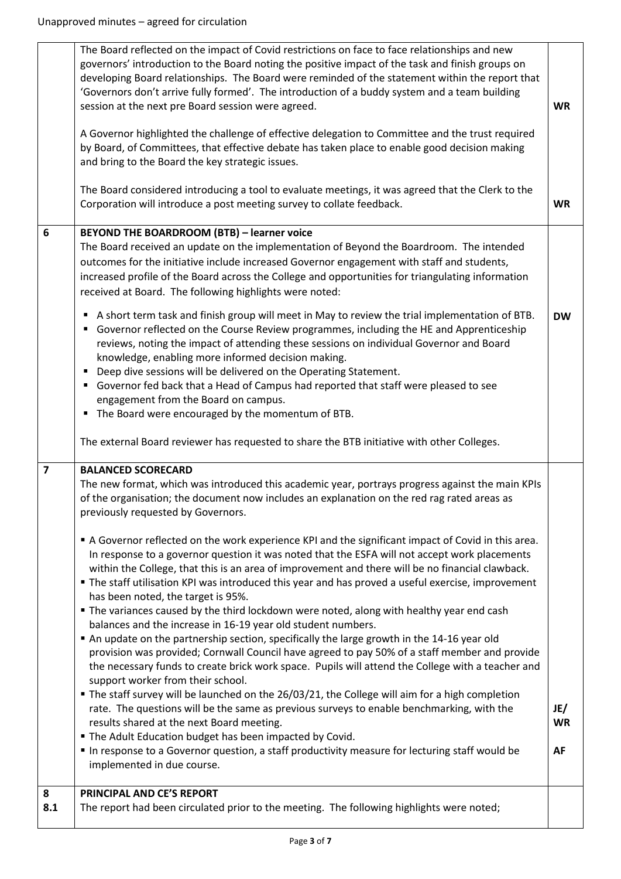|                | The Board reflected on the impact of Covid restrictions on face to face relationships and new<br>governors' introduction to the Board noting the positive impact of the task and finish groups on<br>developing Board relationships. The Board were reminded of the statement within the report that<br>'Governors don't arrive fully formed'. The introduction of a buddy system and a team building<br>session at the next pre Board session were agreed.<br>A Governor highlighted the challenge of effective delegation to Committee and the trust required<br>by Board, of Committees, that effective debate has taken place to enable good decision making<br>and bring to the Board the key strategic issues.                                                                                                                                                                                                                                                                                                                                                                                                                                    | <b>WR</b>       |
|----------------|---------------------------------------------------------------------------------------------------------------------------------------------------------------------------------------------------------------------------------------------------------------------------------------------------------------------------------------------------------------------------------------------------------------------------------------------------------------------------------------------------------------------------------------------------------------------------------------------------------------------------------------------------------------------------------------------------------------------------------------------------------------------------------------------------------------------------------------------------------------------------------------------------------------------------------------------------------------------------------------------------------------------------------------------------------------------------------------------------------------------------------------------------------|-----------------|
|                | The Board considered introducing a tool to evaluate meetings, it was agreed that the Clerk to the<br>Corporation will introduce a post meeting survey to collate feedback.                                                                                                                                                                                                                                                                                                                                                                                                                                                                                                                                                                                                                                                                                                                                                                                                                                                                                                                                                                              | <b>WR</b>       |
| 6              | <b>BEYOND THE BOARDROOM (BTB) - learner voice</b><br>The Board received an update on the implementation of Beyond the Boardroom. The intended<br>outcomes for the initiative include increased Governor engagement with staff and students,<br>increased profile of the Board across the College and opportunities for triangulating information<br>received at Board. The following highlights were noted:<br>A short term task and finish group will meet in May to review the trial implementation of BTB.<br>п<br>Governor reflected on the Course Review programmes, including the HE and Apprenticeship<br>reviews, noting the impact of attending these sessions on individual Governor and Board<br>knowledge, enabling more informed decision making.<br>Deep dive sessions will be delivered on the Operating Statement.<br>п<br>Governor fed back that a Head of Campus had reported that staff were pleased to see<br>engagement from the Board on campus.<br>The Board were encouraged by the momentum of BTB.<br>The external Board reviewer has requested to share the BTB initiative with other Colleges.                               | <b>DW</b>       |
| $\overline{7}$ | <b>BALANCED SCORECARD</b>                                                                                                                                                                                                                                                                                                                                                                                                                                                                                                                                                                                                                                                                                                                                                                                                                                                                                                                                                                                                                                                                                                                               |                 |
|                | The new format, which was introduced this academic year, portrays progress against the main KPIs<br>of the organisation; the document now includes an explanation on the red rag rated areas as<br>previously requested by Governors.                                                                                                                                                                                                                                                                                                                                                                                                                                                                                                                                                                                                                                                                                                                                                                                                                                                                                                                   |                 |
|                | A Governor reflected on the work experience KPI and the significant impact of Covid in this area.<br>In response to a governor question it was noted that the ESFA will not accept work placements<br>within the College, that this is an area of improvement and there will be no financial clawback.<br>" The staff utilisation KPI was introduced this year and has proved a useful exercise, improvement<br>has been noted, the target is 95%.<br>• The variances caused by the third lockdown were noted, along with healthy year end cash<br>balances and the increase in 16-19 year old student numbers.<br>An update on the partnership section, specifically the large growth in the 14-16 year old<br>provision was provided; Cornwall Council have agreed to pay 50% of a staff member and provide<br>the necessary funds to create brick work space. Pupils will attend the College with a teacher and<br>support worker from their school.<br>" The staff survey will be launched on the 26/03/21, the College will aim for a high completion<br>rate. The questions will be the same as previous surveys to enable benchmarking, with the | JE/             |
|                | results shared at the next Board meeting.<br>" The Adult Education budget has been impacted by Covid.<br>In response to a Governor question, a staff productivity measure for lecturing staff would be<br>implemented in due course.                                                                                                                                                                                                                                                                                                                                                                                                                                                                                                                                                                                                                                                                                                                                                                                                                                                                                                                    | <b>WR</b><br>AF |
| 8<br>8.1       | PRINCIPAL AND CE'S REPORT<br>The report had been circulated prior to the meeting. The following highlights were noted;                                                                                                                                                                                                                                                                                                                                                                                                                                                                                                                                                                                                                                                                                                                                                                                                                                                                                                                                                                                                                                  |                 |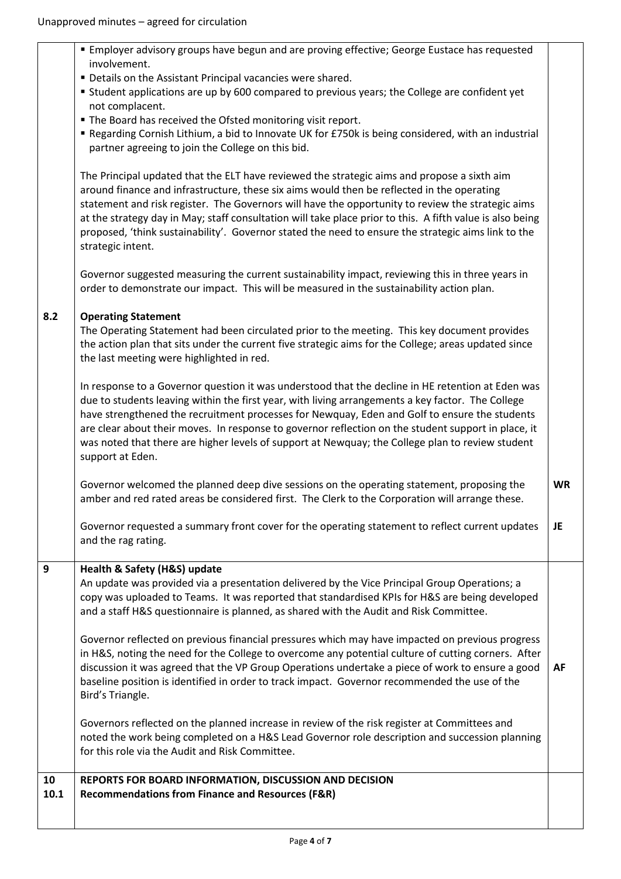|      | <b>Employer advisory groups have begun and are proving effective; George Eustace has requested</b>                                                                                                                                                                                                                                                                                                                                                                                                                                      |           |
|------|-----------------------------------------------------------------------------------------------------------------------------------------------------------------------------------------------------------------------------------------------------------------------------------------------------------------------------------------------------------------------------------------------------------------------------------------------------------------------------------------------------------------------------------------|-----------|
|      | involvement.<br>" Details on the Assistant Principal vacancies were shared.<br>" Student applications are up by 600 compared to previous years; the College are confident yet                                                                                                                                                                                                                                                                                                                                                           |           |
|      | not complacent.                                                                                                                                                                                                                                                                                                                                                                                                                                                                                                                         |           |
|      | " The Board has received the Ofsted monitoring visit report.<br>Regarding Cornish Lithium, a bid to Innovate UK for £750k is being considered, with an industrial                                                                                                                                                                                                                                                                                                                                                                       |           |
|      | partner agreeing to join the College on this bid.                                                                                                                                                                                                                                                                                                                                                                                                                                                                                       |           |
|      | The Principal updated that the ELT have reviewed the strategic aims and propose a sixth aim<br>around finance and infrastructure, these six aims would then be reflected in the operating<br>statement and risk register. The Governors will have the opportunity to review the strategic aims<br>at the strategy day in May; staff consultation will take place prior to this. A fifth value is also being<br>proposed, 'think sustainability'. Governor stated the need to ensure the strategic aims link to the<br>strategic intent. |           |
|      | Governor suggested measuring the current sustainability impact, reviewing this in three years in<br>order to demonstrate our impact. This will be measured in the sustainability action plan.                                                                                                                                                                                                                                                                                                                                           |           |
| 8.2  | <b>Operating Statement</b><br>The Operating Statement had been circulated prior to the meeting. This key document provides                                                                                                                                                                                                                                                                                                                                                                                                              |           |
|      | the action plan that sits under the current five strategic aims for the College; areas updated since<br>the last meeting were highlighted in red.                                                                                                                                                                                                                                                                                                                                                                                       |           |
|      | In response to a Governor question it was understood that the decline in HE retention at Eden was<br>due to students leaving within the first year, with living arrangements a key factor. The College<br>have strengthened the recruitment processes for Newquay, Eden and Golf to ensure the students<br>are clear about their moves. In response to governor reflection on the student support in place, it<br>was noted that there are higher levels of support at Newquay; the College plan to review student<br>support at Eden.  |           |
|      | Governor welcomed the planned deep dive sessions on the operating statement, proposing the<br>amber and red rated areas be considered first. The Clerk to the Corporation will arrange these.                                                                                                                                                                                                                                                                                                                                           | <b>WR</b> |
|      | Governor requested a summary front cover for the operating statement to reflect current updates<br>and the rag rating.                                                                                                                                                                                                                                                                                                                                                                                                                  | <b>JE</b> |
| 9    | Health & Safety (H&S) update                                                                                                                                                                                                                                                                                                                                                                                                                                                                                                            |           |
|      | An update was provided via a presentation delivered by the Vice Principal Group Operations; a<br>copy was uploaded to Teams. It was reported that standardised KPIs for H&S are being developed<br>and a staff H&S questionnaire is planned, as shared with the Audit and Risk Committee.                                                                                                                                                                                                                                               |           |
|      |                                                                                                                                                                                                                                                                                                                                                                                                                                                                                                                                         |           |
|      | Governor reflected on previous financial pressures which may have impacted on previous progress<br>in H&S, noting the need for the College to overcome any potential culture of cutting corners. After                                                                                                                                                                                                                                                                                                                                  |           |
|      | discussion it was agreed that the VP Group Operations undertake a piece of work to ensure a good<br>baseline position is identified in order to track impact. Governor recommended the use of the<br>Bird's Triangle.                                                                                                                                                                                                                                                                                                                   | AF        |
|      | Governors reflected on the planned increase in review of the risk register at Committees and<br>noted the work being completed on a H&S Lead Governor role description and succession planning<br>for this role via the Audit and Risk Committee.                                                                                                                                                                                                                                                                                       |           |
| 10   | REPORTS FOR BOARD INFORMATION, DISCUSSION AND DECISION                                                                                                                                                                                                                                                                                                                                                                                                                                                                                  |           |
| 10.1 | <b>Recommendations from Finance and Resources (F&amp;R)</b>                                                                                                                                                                                                                                                                                                                                                                                                                                                                             |           |
|      |                                                                                                                                                                                                                                                                                                                                                                                                                                                                                                                                         |           |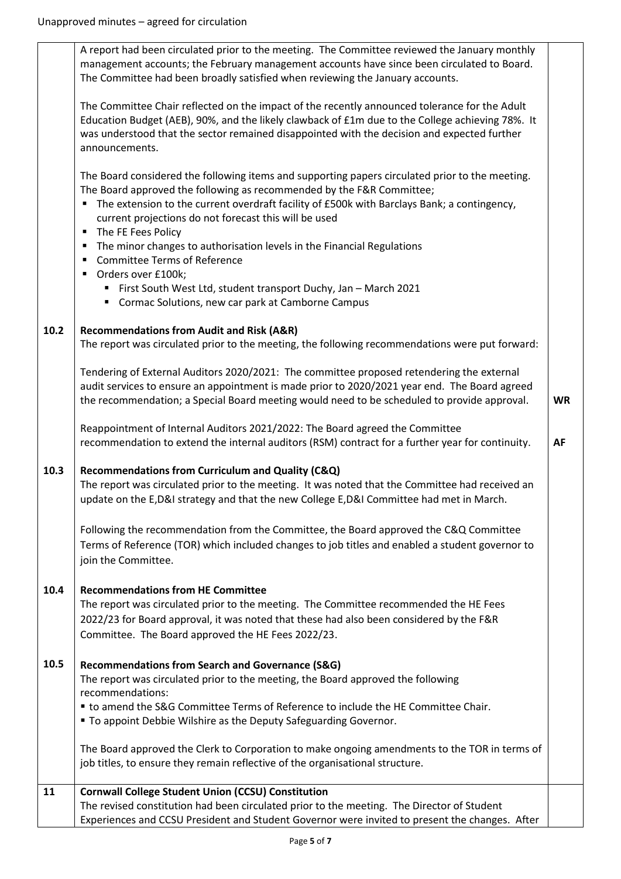|      | A report had been circulated prior to the meeting. The Committee reviewed the January monthly<br>management accounts; the February management accounts have since been circulated to Board.<br>The Committee had been broadly satisfied when reviewing the January accounts.                                                                                                                                                                                                                                                                                                                                                                               |           |
|------|------------------------------------------------------------------------------------------------------------------------------------------------------------------------------------------------------------------------------------------------------------------------------------------------------------------------------------------------------------------------------------------------------------------------------------------------------------------------------------------------------------------------------------------------------------------------------------------------------------------------------------------------------------|-----------|
|      | The Committee Chair reflected on the impact of the recently announced tolerance for the Adult<br>Education Budget (AEB), 90%, and the likely clawback of £1m due to the College achieving 78%. It<br>was understood that the sector remained disappointed with the decision and expected further<br>announcements.                                                                                                                                                                                                                                                                                                                                         |           |
|      | The Board considered the following items and supporting papers circulated prior to the meeting.<br>The Board approved the following as recommended by the F&R Committee;<br>The extension to the current overdraft facility of £500k with Barclays Bank; a contingency,<br>current projections do not forecast this will be used<br>The FE Fees Policy<br>$\blacksquare$<br>The minor changes to authorisation levels in the Financial Regulations<br>٠<br><b>Committee Terms of Reference</b><br>٠<br>Orders over £100k;<br>٠<br>" First South West Ltd, student transport Duchy, Jan - March 2021<br>" Cormac Solutions, new car park at Camborne Campus |           |
|      |                                                                                                                                                                                                                                                                                                                                                                                                                                                                                                                                                                                                                                                            |           |
| 10.2 | <b>Recommendations from Audit and Risk (A&amp;R)</b><br>The report was circulated prior to the meeting, the following recommendations were put forward:                                                                                                                                                                                                                                                                                                                                                                                                                                                                                                    |           |
|      | Tendering of External Auditors 2020/2021: The committee proposed retendering the external<br>audit services to ensure an appointment is made prior to 2020/2021 year end. The Board agreed<br>the recommendation; a Special Board meeting would need to be scheduled to provide approval.                                                                                                                                                                                                                                                                                                                                                                  | <b>WR</b> |
|      | Reappointment of Internal Auditors 2021/2022: The Board agreed the Committee<br>recommendation to extend the internal auditors (RSM) contract for a further year for continuity.                                                                                                                                                                                                                                                                                                                                                                                                                                                                           | <b>AF</b> |
| 10.3 | Recommendations from Curriculum and Quality (C&Q)<br>The report was circulated prior to the meeting. It was noted that the Committee had received an<br>update on the E,D&I strategy and that the new College E,D&I Committee had met in March.                                                                                                                                                                                                                                                                                                                                                                                                            |           |
|      | Following the recommendation from the Committee, the Board approved the C&Q Committee<br>Terms of Reference (TOR) which included changes to job titles and enabled a student governor to<br>join the Committee.                                                                                                                                                                                                                                                                                                                                                                                                                                            |           |
| 10.4 | <b>Recommendations from HE Committee</b><br>The report was circulated prior to the meeting. The Committee recommended the HE Fees<br>2022/23 for Board approval, it was noted that these had also been considered by the F&R<br>Committee. The Board approved the HE Fees 2022/23.                                                                                                                                                                                                                                                                                                                                                                         |           |
| 10.5 | <b>Recommendations from Search and Governance (S&amp;G)</b><br>The report was circulated prior to the meeting, the Board approved the following<br>recommendations:                                                                                                                                                                                                                                                                                                                                                                                                                                                                                        |           |
|      | " to amend the S&G Committee Terms of Reference to include the HE Committee Chair.<br>" To appoint Debbie Wilshire as the Deputy Safeguarding Governor.                                                                                                                                                                                                                                                                                                                                                                                                                                                                                                    |           |
|      | The Board approved the Clerk to Corporation to make ongoing amendments to the TOR in terms of<br>job titles, to ensure they remain reflective of the organisational structure.                                                                                                                                                                                                                                                                                                                                                                                                                                                                             |           |
| 11   | <b>Cornwall College Student Union (CCSU) Constitution</b>                                                                                                                                                                                                                                                                                                                                                                                                                                                                                                                                                                                                  |           |
|      | The revised constitution had been circulated prior to the meeting. The Director of Student<br>Experiences and CCSU President and Student Governor were invited to present the changes. After                                                                                                                                                                                                                                                                                                                                                                                                                                                               |           |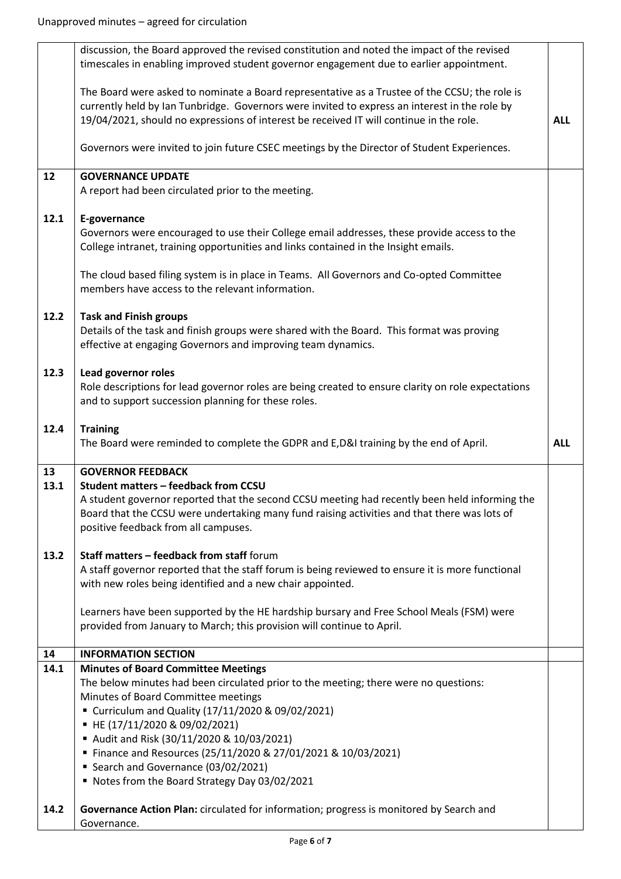|      | discussion, the Board approved the revised constitution and noted the impact of the revised        |            |
|------|----------------------------------------------------------------------------------------------------|------------|
|      | timescales in enabling improved student governor engagement due to earlier appointment.            |            |
|      |                                                                                                    |            |
|      | The Board were asked to nominate a Board representative as a Trustee of the CCSU; the role is      |            |
|      | currently held by Ian Tunbridge. Governors were invited to express an interest in the role by      |            |
|      | 19/04/2021, should no expressions of interest be received IT will continue in the role.            | <b>ALL</b> |
|      |                                                                                                    |            |
|      | Governors were invited to join future CSEC meetings by the Director of Student Experiences.        |            |
| 12   | <b>GOVERNANCE UPDATE</b>                                                                           |            |
|      | A report had been circulated prior to the meeting.                                                 |            |
|      |                                                                                                    |            |
| 12.1 | E-governance                                                                                       |            |
|      | Governors were encouraged to use their College email addresses, these provide access to the        |            |
|      | College intranet, training opportunities and links contained in the Insight emails.                |            |
|      |                                                                                                    |            |
|      | The cloud based filing system is in place in Teams. All Governors and Co-opted Committee           |            |
|      | members have access to the relevant information.                                                   |            |
| 12.2 | <b>Task and Finish groups</b>                                                                      |            |
|      | Details of the task and finish groups were shared with the Board. This format was proving          |            |
|      | effective at engaging Governors and improving team dynamics.                                       |            |
|      |                                                                                                    |            |
| 12.3 | Lead governor roles                                                                                |            |
|      | Role descriptions for lead governor roles are being created to ensure clarity on role expectations |            |
|      | and to support succession planning for these roles.                                                |            |
|      |                                                                                                    |            |
| 12.4 | <b>Training</b>                                                                                    |            |
|      | The Board were reminded to complete the GDPR and E,D&I training by the end of April.               | <b>ALL</b> |
|      |                                                                                                    |            |
| 13   | <b>GOVERNOR FEEDBACK</b><br><b>Student matters - feedback from CCSU</b>                            |            |
| 13.1 |                                                                                                    |            |
|      | A student governor reported that the second CCSU meeting had recently been held informing the      |            |
|      | Board that the CCSU were undertaking many fund raising activities and that there was lots of       |            |
|      | positive feedback from all campuses.                                                               |            |
| 13.2 | Staff matters - feedback from staff forum                                                          |            |
|      | A staff governor reported that the staff forum is being reviewed to ensure it is more functional   |            |
|      | with new roles being identified and a new chair appointed.                                         |            |
|      |                                                                                                    |            |
|      | Learners have been supported by the HE hardship bursary and Free School Meals (FSM) were           |            |
|      | provided from January to March; this provision will continue to April.                             |            |
| 14   | <b>INFORMATION SECTION</b>                                                                         |            |
| 14.1 | <b>Minutes of Board Committee Meetings</b>                                                         |            |
|      | The below minutes had been circulated prior to the meeting; there were no questions:               |            |
|      | Minutes of Board Committee meetings                                                                |            |
|      | " Curriculum and Quality (17/11/2020 & 09/02/2021)                                                 |            |
|      | ■ HE (17/11/2020 & 09/02/2021)                                                                     |            |
|      | Audit and Risk (30/11/2020 & 10/03/2021)                                                           |            |
|      | ■ Finance and Resources (25/11/2020 & 27/01/2021 & 10/03/2021)                                     |            |
|      |                                                                                                    |            |
|      |                                                                                                    |            |
|      | Search and Governance (03/02/2021)<br>Notes from the Board Strategy Day 03/02/2021                 |            |
|      |                                                                                                    |            |
| 14.2 | Governance Action Plan: circulated for information; progress is monitored by Search and            |            |